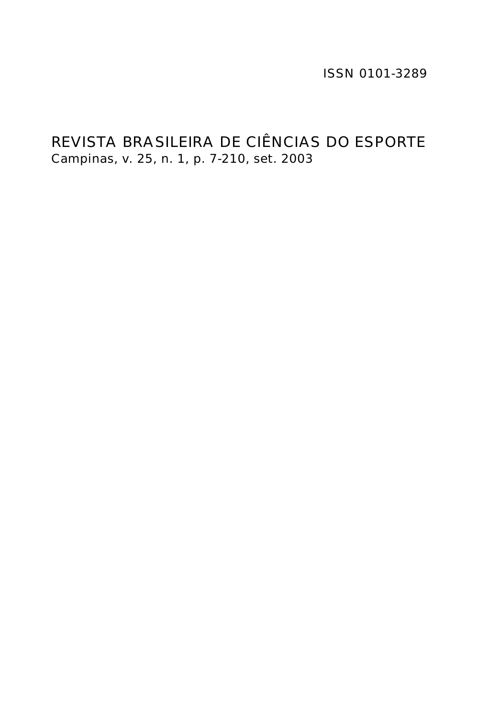ISSN 0101-3289

# REVISTA BRASILEIRA DE CIÊNCIAS DO ESPORTE Campinas, v. 25, n. 1, p. 7-210, set. 2003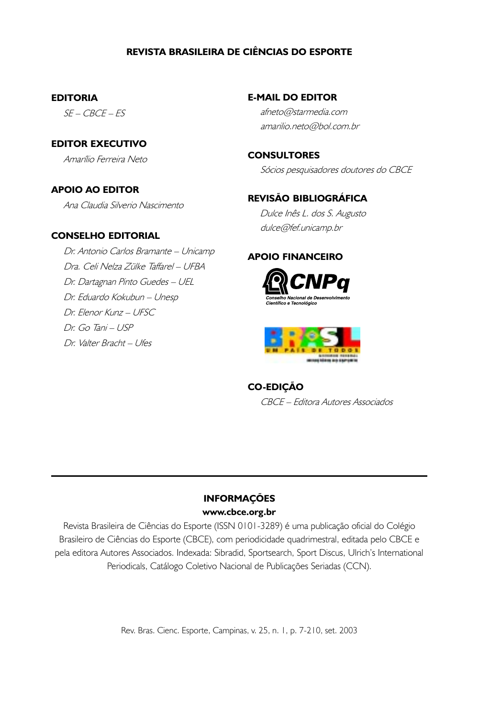# REVISTA BRASILEIRA DE CIÊNCIAS DO ESPORTE

#### EDITORIA

SE – CBCE – ES

EDITOR EXECUTIVO Amarílio Ferreira Neto

### APOIO AO EDITOR

Ana Claudia Silverio Nascimento

#### CONSELHO EDITORIAL

 Dr. Antonio Carlos Bramante – Unicamp Dra. Celi Nelza Zülke Taffarel – UFBA Dr. Dartagnan Pinto Guedes – UEL Dr. Eduardo Kokubun – Unesp Dr. Elenor Kunz – UFSC Dr. Go Tani – USP Dr. Valter Bracht – Ufes

E-MAIL DO EDITOR

 afneto@starmedia.com amarilio.neto@bol.com.br

**CONSULTORES** Sócios pesquisadores doutores do CBCE

### REVISÃO BIBLIOGRÁFICA

 Dulce Inês L. dos S. Augusto dulce@fef.unicamp.br

## APOIO FINANCEIRO





## CO-EDIÇÃO

CBCE – Editora Autores Associados

## INFORMAÇÕES www.cbce.org.br

Revista Brasileira de Ciências do Esporte (ISSN 0101-3289) é uma publicação oficial do Colégio Brasileiro de Ciências do Esporte (CBCE), com periodicidade quadrimestral, editada pelo CBCE e pela editora Autores Associados. Indexada: Sibradid, Sportsearch, Sport Discus, Ulrich's International Periodicals, Catálogo Coletivo Nacional de Publicações Seriadas (CCN).

Rev. Bras. Cienc. Esporte, Campinas, v. 25, n. 1, p. 7-210, set. 2003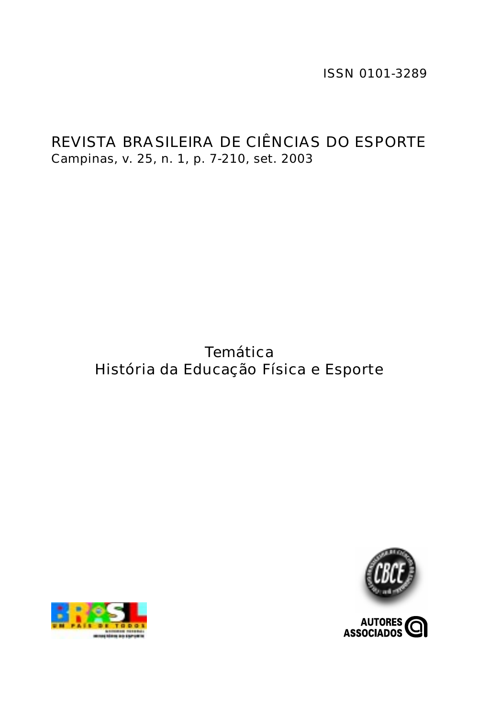ISSN 0101-3289

# REVISTA BRASILEIRA DE CIÊNCIAS DO ESPORTE Campinas, v. 25, n. 1, p. 7-210, set. 2003

# **Temática** História da Educação Física e Esporte



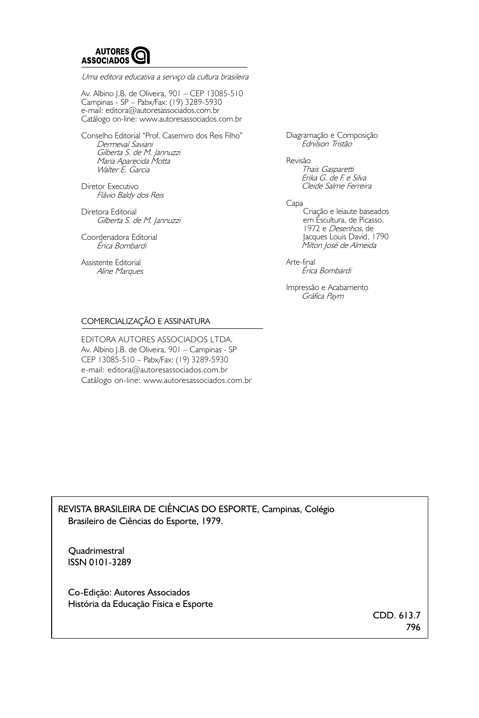

Uma editora educativa a serviço da cultura brasileira

Av. Albino J.B. de Oliveira, 901 – CEP 13085-510 Campinas - SP – Pabx/Fax: (19) 3289-5930 e-mail: editora@autoresassociados.com.br Catálogo on-line: www.autoresassociados.com.br

Conselho Editorial "Prof. Casemiro dos Reis Filho" Dermeval Saviani Gilberta S. de M. Jannuzzi Maria Aparecida Motta Walter E. Garcia

Diretor Executivo Flávio Baldy dos Reis

Diretora Editorial Gilberta S. de M. Jannuzzi

Coordenadora Editorial Érica Bombardi

Assistente Editorial Aline Marques Diagramação e Composição Ednilson Tristão

Revisão Thais Gasparetti Erika G. de F. e Silva Cleide Salme Ferreira

Capa Criação e leiaute baseados em Escultura, de Picasso, 1972 e Desenhos, de Jacques Louis David, 1790 Milton José de Almeida

Arte-final Érica Bombardi

Impressão e Acabamento Gráfica Paym

#### COMERCIALIZAÇÃO E ASSINATURA

EDITORA AUTORES ASSOCIADOS LTDA. Av. Albino J.B. de Oliveira, 901 – Campinas - SP CEP 13085-510 – Pabx/Fax: (19) 3289-5930 e-mail: editora@autoresassociados.com.br Catálogo on-line: www.autoresassociados.com.br

REVISTA BRASILEIRA DE CIÊNCIAS DO ESPORTE, Campinas, Colégio Brasileiro de Ciências do Esporte, 1979.

**Quadrimestral** ISSN 0101-3289

 Co-Edição: Autores Associados História da Educação Física e Esporte

> CDD. 613.7 796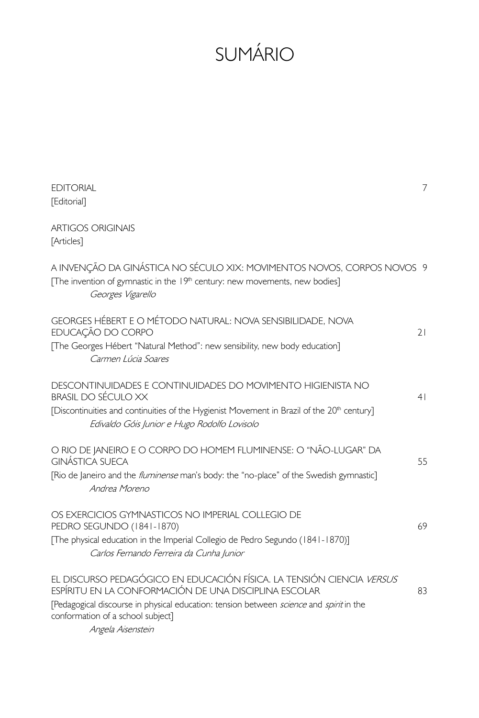# SUMÁRIO

| <b>EDITORIAL</b><br>[Editorial]                                                                                                                                                                                                                                | $\overline{7}$ |
|----------------------------------------------------------------------------------------------------------------------------------------------------------------------------------------------------------------------------------------------------------------|----------------|
| <b>ARTIGOS ORIGINAIS</b><br>[Articles]                                                                                                                                                                                                                         |                |
| A INVENÇÃO DA GINÁSTICA NO SÉCULO XIX: MOVIMENTOS NOVOS, CORPOS NOVOS 9<br>[The invention of gymnastic in the 19th century: new movements, new bodies]<br>Georges Vigarello                                                                                    |                |
| GEORGES HÉBERT E O MÉTODO NATURAL: NOVA SENSIBILIDADE, NOVA<br>EDUCAÇÃO DO CORPO<br>[The Georges Hébert "Natural Method": new sensibility, new body education]<br>Carmen Lúcia Soares                                                                          | 21             |
| DESCONTINUIDADES E CONTINUIDADES DO MOVIMENTO HIGIENISTA NO<br>BRASIL DO SÉCULO XX<br>[Discontinuities and continuities of the Hygienist Movement in Brazil of the 20 <sup>th</sup> century]<br>Edivaldo Góis Junior e Hugo Rodolfo Lovisolo                   | 4 <sup>1</sup> |
| O RIO DE JANEIRO E O CORPO DO HOMEM FLUMINENSE: O "NÃO-LUGAR" DA<br>GINÁSTICA SUFCA<br>[Rio de Janeiro and the <i>fluminense</i> man's body: the "no-place" of the Swedish gymnastic]<br>Andrea Moreno                                                         | 55             |
| OS EXERCICIOS GYMNASTICOS NO IMPERIAL COLLEGIO DE<br>PEDRO SEGUNDO (1841-1870)<br>[The physical education in the Imperial Collegio de Pedro Segundo (1841-1870)]<br>Carlos Fernando Ferreira da Cunha Junior                                                   | 69             |
| EL DISCURSO PEDAGÓGICO EN EDUCACIÓN FÍSICA. LA TENSIÓN CIENCIA VERSUS<br>ESPÍRITU EN LA CONFORMACIÓN DE UNA DISCIPLINA ESCOLAR<br>[Pedagogical discourse in physical education: tension between science and spirit in the<br>conformation of a school subject] | 83             |

Angela Aisenstein